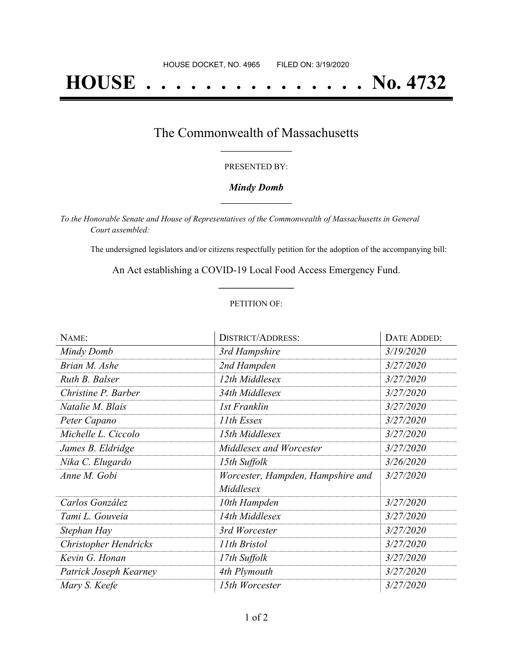# **HOUSE . . . . . . . . . . . . . . . No. 4732**

### The Commonwealth of Massachusetts **\_\_\_\_\_\_\_\_\_\_\_\_\_\_\_\_\_**

#### PRESENTED BY:

#### *Mindy Domb* **\_\_\_\_\_\_\_\_\_\_\_\_\_\_\_\_\_**

*To the Honorable Senate and House of Representatives of the Commonwealth of Massachusetts in General Court assembled:*

The undersigned legislators and/or citizens respectfully petition for the adoption of the accompanying bill:

An Act establishing a COVID-19 Local Food Access Emergency Fund. **\_\_\_\_\_\_\_\_\_\_\_\_\_\_\_**

#### PETITION OF:

| NAME:                        | <b>DISTRICT/ADDRESS:</b>          | DATE ADDED: |
|------------------------------|-----------------------------------|-------------|
| Mindy Domb                   | 3rd Hampshire                     | 3/19/2020   |
| Brian M. Ashe                | 2nd Hampden                       | 3/27/2020   |
| Ruth B. Balser               | 12th Middlesex                    | 3/27/2020   |
| Christine P. Barber          | 34th Middlesex                    | 3/27/2020   |
| Natalie M. Blais             | 1st Franklin                      | 3/27/2020   |
| Peter Capano                 | 11th Essex                        | 3/27/2020   |
| Michelle L. Ciccolo          | 15th Middlesex                    | 3/27/2020   |
| James B. Eldridge            | Middlesex and Worcester           | 3/27/2020   |
| Nika C. Elugardo             | 15th Suffolk                      | 3/26/2020   |
| Anne M. Gobi                 | Worcester, Hampden, Hampshire and | 3/27/2020   |
|                              | Middlesex                         |             |
| Carlos González              | 10th Hampden                      | 3/27/2020   |
| Tami L. Gouveia              | 14th Middlesex                    | 3/27/2020   |
| Stephan Hay                  | 3rd Worcester                     | 3/27/2020   |
| <b>Christopher Hendricks</b> | 11th Bristol                      | 3/27/2020   |
| Kevin G. Honan               | 17th Suffolk                      | 3/27/2020   |
| Patrick Joseph Kearney       | 4th Plymouth                      | 3/27/2020   |
| Mary S. Keefe                | 15th Worcester                    | 3/27/2020   |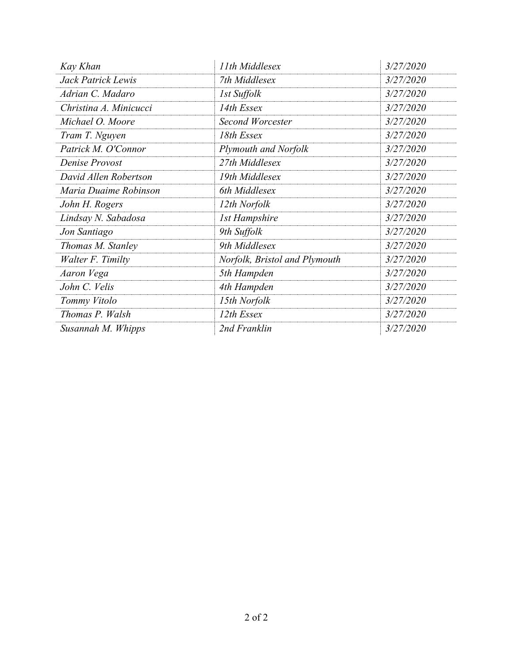| Kay Khan               | 11th Middlesex                | 3/27/2020 |
|------------------------|-------------------------------|-----------|
| Jack Patrick Lewis     | 7th Middlesex                 | 3/27/2020 |
| Adrian C. Madaro       | 1st Suffolk                   | 3/27/2020 |
| Christina A. Minicucci | 14th Essex                    | 3/27/2020 |
| Michael O. Moore       | Second Worcester              | 3/27/2020 |
| Tram T. Nguyen         | 18th Essex                    | 3/27/2020 |
| Patrick M. O'Connor    | Plymouth and Norfolk          | 3/27/2020 |
| Denise Provost         | 27th Middlesex                | 3/27/2020 |
| David Allen Robertson  | 19th Middlesex                | 3/27/2020 |
| Maria Duaime Robinson  | 6th Middlesex                 | 3/27/2020 |
| John H. Rogers         | 12th Norfolk                  | 3/27/2020 |
| Lindsay N. Sabadosa    | <b>1st Hampshire</b>          | 3/27/2020 |
| Jon Santiago           | 9th Suffolk                   | 3/27/2020 |
| Thomas M. Stanley      | 9th Middlesex                 | 3/27/2020 |
| Walter F. Timilty      | Norfolk, Bristol and Plymouth | 3/27/2020 |
| Aaron Vega             | 5th Hampden                   | 3/27/2020 |
| John C. Velis          | 4th Hampden                   | 3/27/2020 |
| Tommy Vitolo           | 15th Norfolk                  | 3/27/2020 |
| Thomas P. Walsh        | 12th Essex                    | 3/27/2020 |
| Susannah M. Whipps     | 2nd Franklin                  | 3/27/2020 |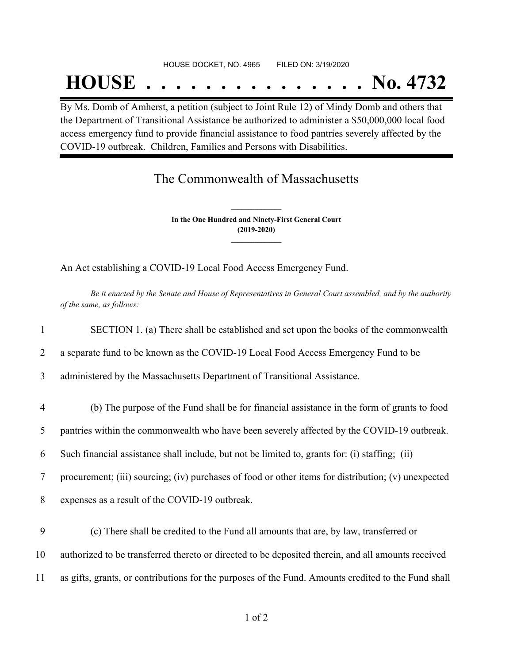#### HOUSE DOCKET, NO. 4965 FILED ON: 3/19/2020

## **HOUSE . . . . . . . . . . . . . . . No. 4732**

By Ms. Domb of Amherst, a petition (subject to Joint Rule 12) of Mindy Domb and others that the Department of Transitional Assistance be authorized to administer a \$50,000,000 local food access emergency fund to provide financial assistance to food pantries severely affected by the COVID-19 outbreak. Children, Families and Persons with Disabilities.

## The Commonwealth of Massachusetts

**In the One Hundred and Ninety-First General Court (2019-2020) \_\_\_\_\_\_\_\_\_\_\_\_\_\_\_**

**\_\_\_\_\_\_\_\_\_\_\_\_\_\_\_**

An Act establishing a COVID-19 Local Food Access Emergency Fund.

Be it enacted by the Senate and House of Representatives in General Court assembled, and by the authority *of the same, as follows:*

|                | SECTION 1. (a) There shall be established and set upon the books of the commonwealth                |
|----------------|-----------------------------------------------------------------------------------------------------|
| 2              | a separate fund to be known as the COVID-19 Local Food Access Emergency Fund to be                  |
| 3              | administered by the Massachusetts Department of Transitional Assistance.                            |
| $\overline{4}$ | (b) The purpose of the Fund shall be for financial assistance in the form of grants to food         |
| 5              | pantries within the commonwealth who have been severely affected by the COVID-19 outbreak.          |
| 6              | Such financial assistance shall include, but not be limited to, grants for: (i) staffing; (ii)      |
| 7              | procurement; (iii) sourcing; (iv) purchases of food or other items for distribution; (v) unexpected |
| 8              | expenses as a result of the COVID-19 outbreak.                                                      |
| 9              | (c) There shall be credited to the Fund all amounts that are, by law, transferred or                |
| 10             | authorized to be transferred thereto or directed to be deposited therein, and all amounts received  |
| 11             | as gifts, grants, or contributions for the purposes of the Fund. Amounts credited to the Fund shall |